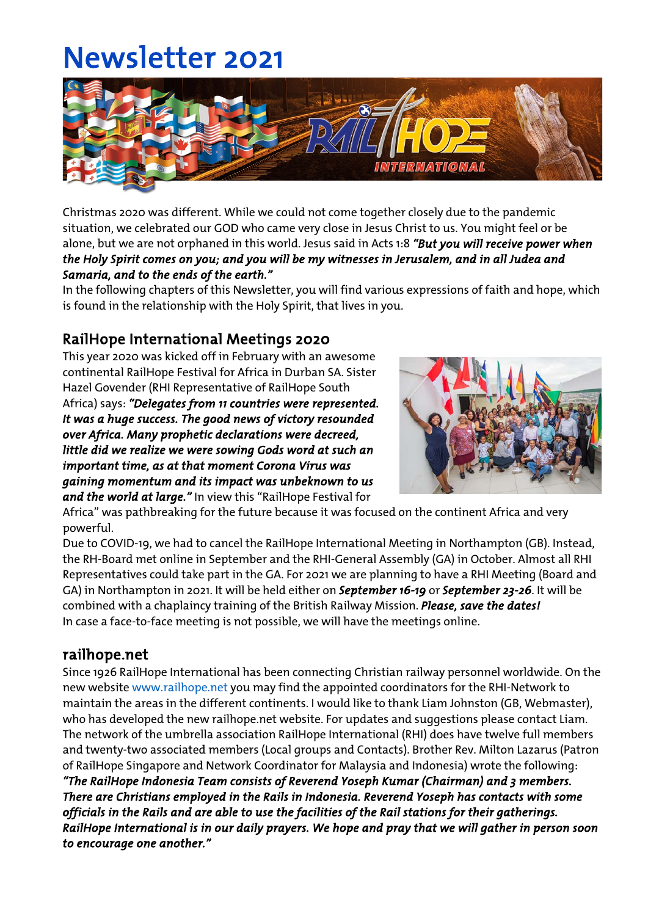# Newsletter 2021



Christmas 2020 was different. While we could not come together closely due to the pandemic situation, we celebrated our GOD who came very close in Jesus Christ to us. You might feel or be alone, but we are not orphaned in this world. Jesus said in Acts 1:8 *"But you will receive power when the Holy Spirit comes on you; and you will be my witnesses in Jerusalem, and in all Judea and Samaria, and to the ends of the earth."* 

In the following chapters of this Newsletter, you will find various expressions of faith and hope, which is found in the relationship with the Holy Spirit, that lives in you.

## RailHope International Meetings 2020

This year 2020 was kicked off in February with an awesome continental RailHope Festival for Africa in Durban SA. Sister Hazel Govender (RHI Representative of RailHope South Africa) says: *"Delegates from 11 countries were represented. It was a huge success. The good news of victory resounded over Africa. Many prophetic declarations were decreed, little did we realize we were sowing Gods word at such an important time, as at that moment Corona Virus was gaining momentum and its impact was unbeknown to us* 

*and the world at large."* In view this "RailHope Festival for



Africa" was pathbreaking for the future because it was focused on the continent Africa and very powerful.

Due to COVID-19, we had to cancel the RailHope International Meeting in Northampton (GB). Instead, the RH-Board met online in September and the RHI-General Assembly (GA) in October. Almost all RHI Representatives could take part in the GA. For 2021 we are planning to have a RHI Meeting (Board and GA) in Northampton in 2021. It will be held either on *September 16-19* or *September 23-26*. It will be combined with a chaplaincy training of the British Railway Mission. *Please, save the dates!* In case a face-to-face meeting is not possible, we will have the meetings online.

## railhope.net

Since 1926 RailHope International has been connecting Christian railway personnel worldwide. On the new website www.railhope.net you may find the appointed coordinators for the RHI-Network to maintain the areas in the different continents. I would like to thank Liam Johnston (GB, Webmaster), who has developed the new railhope.net website. For updates and suggestions please contact Liam. The network of the umbrella association RailHope International (RHI) does have twelve full members and twenty-two associated members (Local groups and Contacts). Brother Rev. Milton Lazarus (Patron of RailHope Singapore and Network Coordinator for Malaysia and Indonesia) wrote the following: *"The RailHope Indonesia Team consists of Reverend Yoseph Kumar (Chairman) and 3 members. There are Christians employed in the Rails in Indonesia. Reverend Yoseph has contacts with some officials in the Rails and are able to use the facilities of the Rail stations for their gatherings. RailHope International is in our daily prayers. We hope and pray that we will gather in person soon* 

*to encourage one another."*